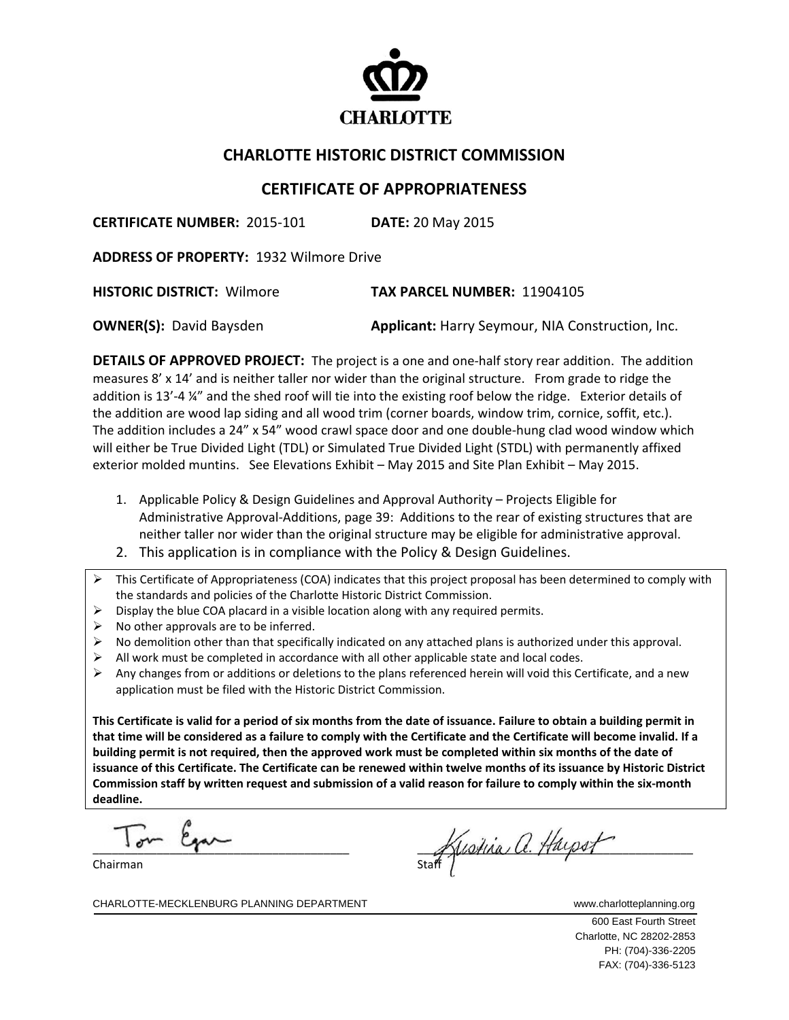

## **CHARLOTTE HISTORIC DISTRICT COMMISSION**

## **CERTIFICATE OF APPROPRIATENESS**

**CERTIFICATE NUMBER:** 2015‐101 **DATE:** 20 May 2015

**ADDRESS OF PROPERTY:** 1932 Wilmore Drive

**HISTORIC DISTRICT:** Wilmore **TAX PARCEL NUMBER:** 11904105

**OWNER(S):** David Baysden **Applicant:** Harry Seymour, NIA Construction, Inc.

**DETAILS OF APPROVED PROJECT:** The project is a one and one‐half story rear addition. The addition measures 8' x 14' and is neither taller nor wider than the original structure. From grade to ridge the addition is 13'-4 ¼" and the shed roof will tie into the existing roof below the ridge. Exterior details of the addition are wood lap siding and all wood trim (corner boards, window trim, cornice, soffit, etc.). The addition includes a 24" x 54" wood crawl space door and one double‐hung clad wood window which will either be True Divided Light (TDL) or Simulated True Divided Light (STDL) with permanently affixed exterior molded muntins. See Elevations Exhibit – May 2015 and Site Plan Exhibit – May 2015.

- 1. Applicable Policy & Design Guidelines and Approval Authority Projects Eligible for Administrative Approval‐Additions, page 39: Additions to the rear of existing structures that are neither taller nor wider than the original structure may be eligible for administrative approval.
- 2. This application is in compliance with the Policy & Design Guidelines.
- This Certificate of Appropriateness (COA) indicates that this project proposal has been determined to comply with the standards and policies of the Charlotte Historic District Commission.
- $\triangleright$  Display the blue COA placard in a visible location along with any required permits.
- $\triangleright$  No other approvals are to be inferred.
- $\triangleright$  No demolition other than that specifically indicated on any attached plans is authorized under this approval.
- $\triangleright$  All work must be completed in accordance with all other applicable state and local codes.
- $\triangleright$  Any changes from or additions or deletions to the plans referenced herein will void this Certificate, and a new application must be filed with the Historic District Commission.

This Certificate is valid for a period of six months from the date of issuance. Failure to obtain a building permit in that time will be considered as a failure to comply with the Certificate and the Certificate will become invalid. If a building permit is not required, then the approved work must be completed within six months of the date of issuance of this Certificate. The Certificate can be renewed within twelve months of its issuance by Historic District Commission staff by written request and submission of a valid reason for failure to comply within the six-month **deadline.**

 $\overline{a}$  $T_{\text{atm}}$   $\beta_{\text{atm}}$ 

Chairman

Stustina a. Haysot

CHARLOTTE-MECKLENBURG PLANNING DEPARTMENT WWW.charlotteplanning.org

 600 East Fourth Street Charlotte, NC 28202-2853 PH: (704)-336-2205 FAX: (704)-336-5123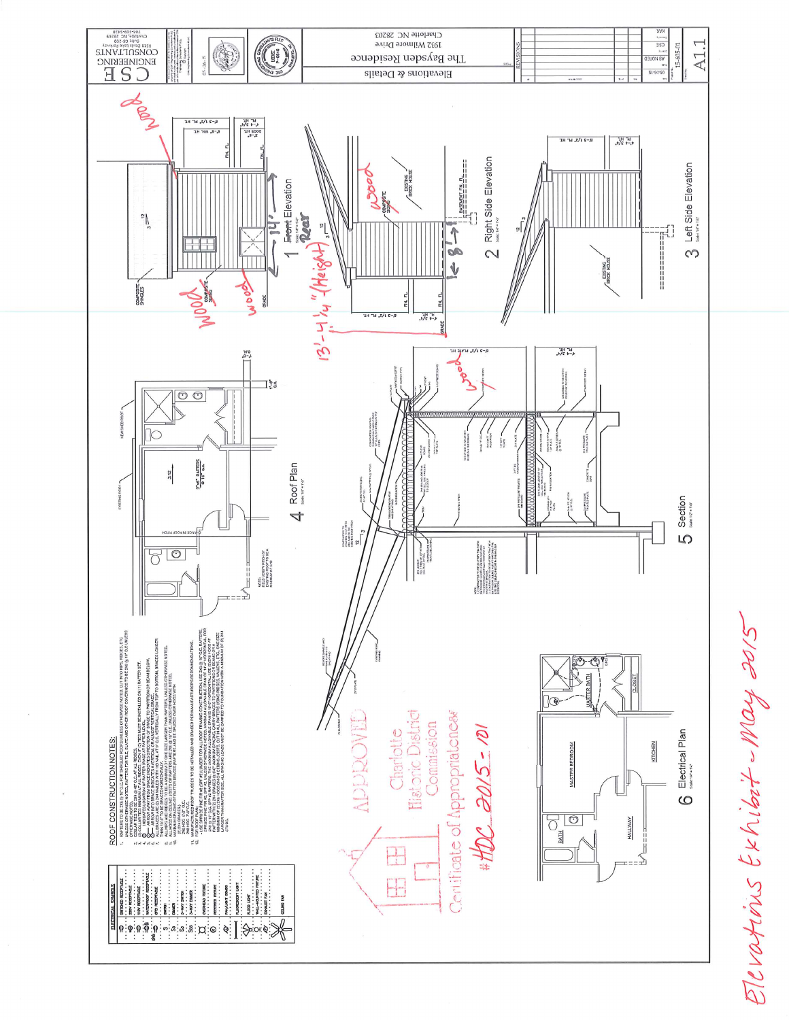$\begin{array}{c} \mathbb{R}^{1876 \cdot 605 + 906}_{\color{red}60703 \cdot 701} \\ \mathbb{R}^{1870 \cdot 701 \cdot 70479 \cdot 70479 \cdot 70479 \cdot 70479 \cdot 70479 \cdot 70479 \cdot 70479 \cdot 70479 \cdot 70479 \cdot 70479 \cdot 70479 \cdot 70479 \cdot 70479 \cdot 70479 \cdot 70479 \cdot 70479 \cdot 70479 \cdot 70479 \cdot 70479 \cdot$ Charlotte NC 28203 ((1) A1.1 1932 Wilmore Drive 15-605-01 The Baysden Residence  $-06 - 5$ Elevations & Details  $k - 4$ <br> $k - 4$ <br> $k - 4$ <br> $2 - 6$ <br> $2 - 6$  $R-2$  J  $\sqrt{3}$ , br Hr  $k-2$  J  $\sqrt{x}$ , br HE  $+4.314$ 2 Right Side Elevation  $\frac{\text{maxmax} \text{ m}}{\text{max} \text{ min} \text{ m}} =$ Left Side Elevation **Fromt Elevation**  $\sum_{i=1}^{n}$  $\frac{12}{n}$  $\begin{array}{c} \hline \uparrow \\ \hline \uparrow \end{array}$  $\begin{aligned} \mathbb{E}[\mathbb{E}[\mathbb{E}[\mathbb{E}[\mathbb{E}[\mathbb{E}[\mathbb{E}[\mathbb{E}[\mathbb{E}[\mathbb{E}[\mathbb{E}[\mathbb{E}[\mathbb{E}[\mathbb{E}[\mathbb{E}[\mathbb{E}[\mathbb{E}[\mathbb{E}[\mathbb{E}[\mathbb{E}[\mathbb{E}[\mathbb{E}[\mathbb{E}[\mathbb{E}[\mathbb{E}[\mathbb{E}[\mathbb{E}[\mathbb{E}[\mathbb{E}[\mathbb{E}[\mathbb{E}[\mathbb{E}[\mathbb{E}[\mathbb{E}[\mathbb{E}[\mathbb{E$  $\frac{1}{2}$  $\infty$  $\check{\mathbb{V}}$ - EXISTING<br>BRICK HOUS WOOD SHEET COMPOSITE-<br>SHINGLES Joog FIN. FL **GRADE**  $\frac{1H}{\sqrt{2}}$   $\frac{1H}{2}$  $R-2$   $\sqrt{x}$ ,  $\ln T$  HT  $V = 42V$ **EATIGEO** WINEATHER ่∃}ู้รั  $\overline{\circ}$ СОММОВПОИ НООРМУ<br>КРУССАЛЬ М ЧАРБЫ ОЛОГ<br>СЕРЬ<br>СЕРЬ BASI BATT  $rac{cm}{cm}$  $\frac{2.46}{9.16}$  a.e. 4 Roof Plan arran  $3:12$  $rac{3}{2}$ Section  $\begin{array}{l} {\tiny \begin{array}{l} {\scriptstyle {\tiny \begin{array}{l} {\scriptstyle \begin{array}{l} {\scriptstyle \begin{array}{l} {\scriptstyle \begin{array}{l} {\scriptstyle \begin{array}{l} {\scriptstyle \begin{array}{l} {\scriptstyle \begin{array}{l} {\scriptstyle \begin{array}{l} {\scriptstyle \begin{array}{l} {\scriptstyle \begin{array}{l} {\scriptstyle \begin{array}{l} {\scriptstyle \begin{array}{l} {\scriptstyle \begin{array}{l} {\scriptstyle \begin{array}{l} {\scriptstyle \begin{array}{l} {\scriptstyle \begin{array}{l} {\scriptstyle \begin{array}{l} {\scriptstyle \begin{array}{l} {\scriptstyle \begin{array}{l} {\scriptstyle \begin{array}{l} {\script$ Ю 4000)<br>Michaelor To Federation Here<br>Michaelor Cornelis Michaelor<br>Michaelor To The Michaelor<br>Local Michaelor The Michael<br>Detho Rubal Michaelor The Michael<br>Local Cornelis  $80$ NOTE:<br>FICLD VERTIY PITCH OF<br>EXISTING ROOF TO BE A<br>MNIUUM OF SIT2  $\begin{array}{l} \displaystyle \text{N}\left(\text{trials}\right)\\ \text{N}\left(\text{T+R}\right) \times \left(\text{tr}\left(\text{R}\right)\right)\\ \text{N}\left(\text{T+R}\right) \times \left(\text{C}\right)\\ \text{N}\left(\text{R}\right) \times \left(\text{C}\right)\\ \text{N}\left(\text{R}\right)\\ \text{N}\left(\text{R}\right) \end{array}$ Ï ≤ , with the result of the space involvements of the state of the measurement of the state of the state of the state of the state of the state of the state of the state of the state of the state of the state of the state of  $\mathbb{Q}$ **Historic District** Centificate of Appropriateness **IELCOCCO** Commission Charlotte  $100 - 5105$ Electrical Plan ROOF CONSTRUCTION NOTES: KITCHEN **MASTER BEDROOM**  $\circ$  $60$ HALLWAY BATH<sup></sup>  $\frac{1}{\sqrt{2}}$  $\sum_{i=1}^n$  $\begin{minipage}{0.9\linewidth} \begin{minipage}{0.9\linewidth} \begin{minipage}{0.9\linewidth} \hline \textbf{0.01}\end{minipage} \begin{minipage}{0.9\linewidth} \begin{minipage}{0.9\linewidth} \begin{minipage}{0.9\linewidth} \hline \textbf{0.01}\end{minipage} \begin{minipage}{0.9\linewidth} \begin{minipage}{0.9\linewidth} \begin{minipage}{0.9\linewidth} \hline \textbf{0.01}\end{minipage} \end{minipage} \begin{minipage}{0.9\linewidth} \begin{minipage}{0.9\linewidth} \hline \textbf{0.01}\end{minip$  $\Box$ 

Elevations Exhibit - May 2015